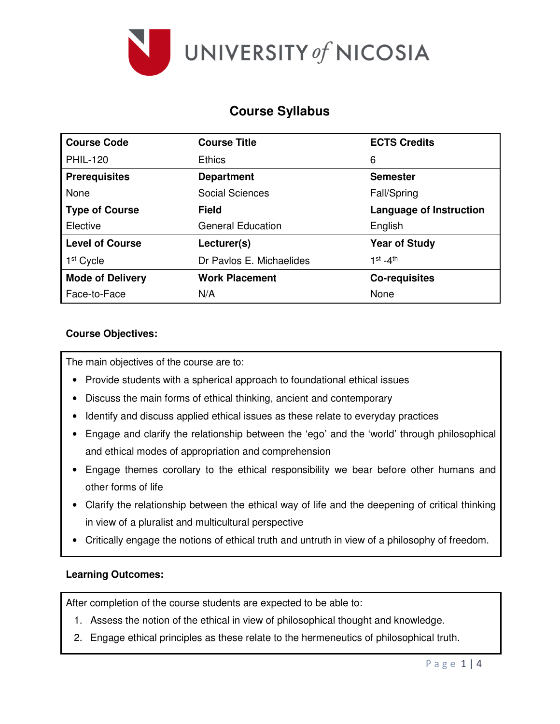

# **Course Syllabus**

| <b>Course Code</b>      | <b>Course Title</b>      | <b>ECTS Credits</b>            |  |  |
|-------------------------|--------------------------|--------------------------------|--|--|
| <b>PHIL-120</b>         | <b>Ethics</b>            | 6                              |  |  |
| <b>Prerequisites</b>    | <b>Department</b>        | <b>Semester</b>                |  |  |
| None                    | <b>Social Sciences</b>   | Fall/Spring                    |  |  |
| <b>Type of Course</b>   | <b>Field</b>             | <b>Language of Instruction</b> |  |  |
| Elective                | <b>General Education</b> | English                        |  |  |
| <b>Level of Course</b>  | Lecturer(s)              | <b>Year of Study</b>           |  |  |
| 1 <sup>st</sup> Cycle   | Dr Pavlos E. Michaelides | $1st - 4th$                    |  |  |
| <b>Mode of Delivery</b> | <b>Work Placement</b>    | <b>Co-requisites</b>           |  |  |
| Face-to-Face            | N/A                      | None                           |  |  |

## **Course Objectives:**

The main objectives of the course are to:

- Provide students with a spherical approach to foundational ethical issues
- Discuss the main forms of ethical thinking, ancient and contemporary
- Identify and discuss applied ethical issues as these relate to everyday practices
- Engage and clarify the relationship between the 'ego' and the 'world' through philosophical and ethical modes of appropriation and comprehension
- Engage themes corollary to the ethical responsibility we bear before other humans and other forms of life
- Clarify the relationship between the ethical way of life and the deepening of critical thinking in view of a pluralist and multicultural perspective
- Critically engage the notions of ethical truth and untruth in view of a philosophy of freedom.

#### **Learning Outcomes:**

After completion of the course students are expected to be able to:

- 1. Assess the notion of the ethical in view of philosophical thought and knowledge.
- 2. Engage ethical principles as these relate to the hermeneutics of philosophical truth.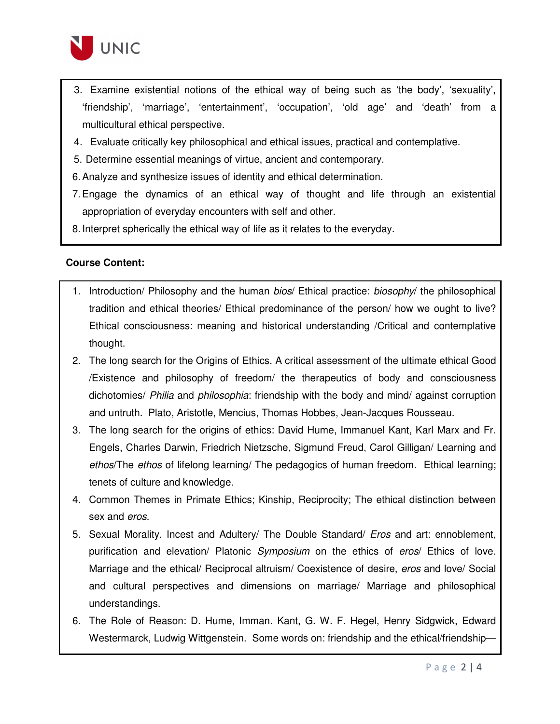

- 3. Examine existential notions of the ethical way of being such as 'the body', 'sexuality', 'friendship', 'marriage', 'entertainment', 'occupation', 'old age' and 'death' from a multicultural ethical perspective.
- 4. Evaluate critically key philosophical and ethical issues, practical and contemplative.
- 5. Determine essential meanings of virtue, ancient and contemporary.
- 6. Analyze and synthesize issues of identity and ethical determination.
- 7. Engage the dynamics of an ethical way of thought and life through an existential appropriation of everyday encounters with self and other.
- 8. Interpret spherically the ethical way of life as it relates to the everyday.

#### **Course Content:**

- 1. Introduction/ Philosophy and the human bios/ Ethical practice: biosophy/ the philosophical tradition and ethical theories/ Ethical predominance of the person/ how we ought to live? Ethical consciousness: meaning and historical understanding /Critical and contemplative thought.
- 2. The long search for the Origins of Ethics. A critical assessment of the ultimate ethical Good /Existence and philosophy of freedom/ the therapeutics of body and consciousness dichotomies/ Philia and philosophia: friendship with the body and mind/ against corruption and untruth. Plato, Aristotle, Mencius, Thomas Hobbes, Jean-Jacques Rousseau.
- 3. The long search for the origins of ethics: David Hume, Immanuel Kant, Karl Marx and Fr. Engels, Charles Darwin, Friedrich Nietzsche, Sigmund Freud, Carol Gilligan/ Learning and ethos/The ethos of lifelong learning/ The pedagogics of human freedom. Ethical learning; tenets of culture and knowledge.
- 4. Common Themes in Primate Ethics; Kinship, Reciprocity; The ethical distinction between sex and eros.
- 5. Sexual Morality. Incest and Adultery/ The Double Standard/ *Eros* and art: ennoblement, purification and elevation/ Platonic Symposium on the ethics of eros/ Ethics of love. Marriage and the ethical/ Reciprocal altruism/ Coexistence of desire, eros and love/ Social and cultural perspectives and dimensions on marriage/ Marriage and philosophical understandings.
- 6. The Role of Reason: D. Hume, Imman. Kant, G. W. F. Hegel, Henry Sidgwick, Edward Westermarck, Ludwig Wittgenstein. Some words on: friendship and the ethical/friendship—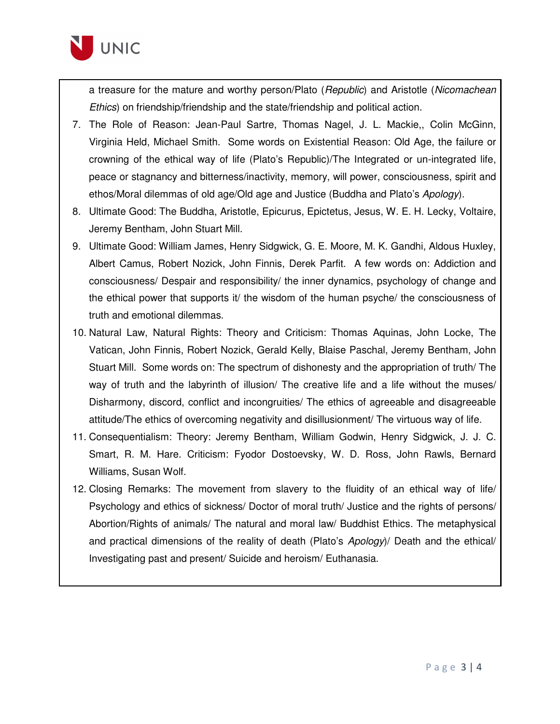

a treasure for the mature and worthy person/Plato (Republic) and Aristotle (Nicomachean Ethics) on friendship/friendship and the state/friendship and political action.

- 7. The Role of Reason: Jean-Paul Sartre, Thomas Nagel, J. L. Mackie,, Colin McGinn, Virginia Held, Michael Smith. Some words on Existential Reason: Old Age, the failure or crowning of the ethical way of life (Plato's Republic)/The Integrated or un-integrated life, peace or stagnancy and bitterness/inactivity, memory, will power, consciousness, spirit and ethos/Moral dilemmas of old age/Old age and Justice (Buddha and Plato's Apology).
- 8. Ultimate Good: The Buddha, Aristotle, Epicurus, Epictetus, Jesus, W. E. H. Lecky, Voltaire, Jeremy Bentham, John Stuart Mill.
- 9. Ultimate Good: William James, Henry Sidgwick, G. E. Moore, M. K. Gandhi, Aldous Huxley, Albert Camus, Robert Nozick, John Finnis, Derek Parfit. A few words on: Addiction and consciousness/ Despair and responsibility/ the inner dynamics, psychology of change and the ethical power that supports it/ the wisdom of the human psyche/ the consciousness of truth and emotional dilemmas.
- 10. Natural Law, Natural Rights: Theory and Criticism: Thomas Aquinas, John Locke, The Vatican, John Finnis, Robert Nozick, Gerald Kelly, Blaise Paschal, Jeremy Bentham, John Stuart Mill. Some words on: The spectrum of dishonesty and the appropriation of truth/ The way of truth and the labyrinth of illusion/ The creative life and a life without the muses/ Disharmony, discord, conflict and incongruities/ The ethics of agreeable and disagreeable attitude/The ethics of overcoming negativity and disillusionment/ The virtuous way of life.
- 11. Consequentialism: Theory: Jeremy Bentham, William Godwin, Henry Sidgwick, J. J. C. Smart, R. M. Hare. Criticism: Fyodor Dostoevsky, W. D. Ross, John Rawls, Bernard Williams, Susan Wolf.
- 12. Closing Remarks: The movement from slavery to the fluidity of an ethical way of life/ Psychology and ethics of sickness/ Doctor of moral truth/ Justice and the rights of persons/ Abortion/Rights of animals/ The natural and moral law/ Buddhist Ethics. The metaphysical and practical dimensions of the reality of death (Plato's Apology)/ Death and the ethical/ Investigating past and present/ Suicide and heroism/ Euthanasia.